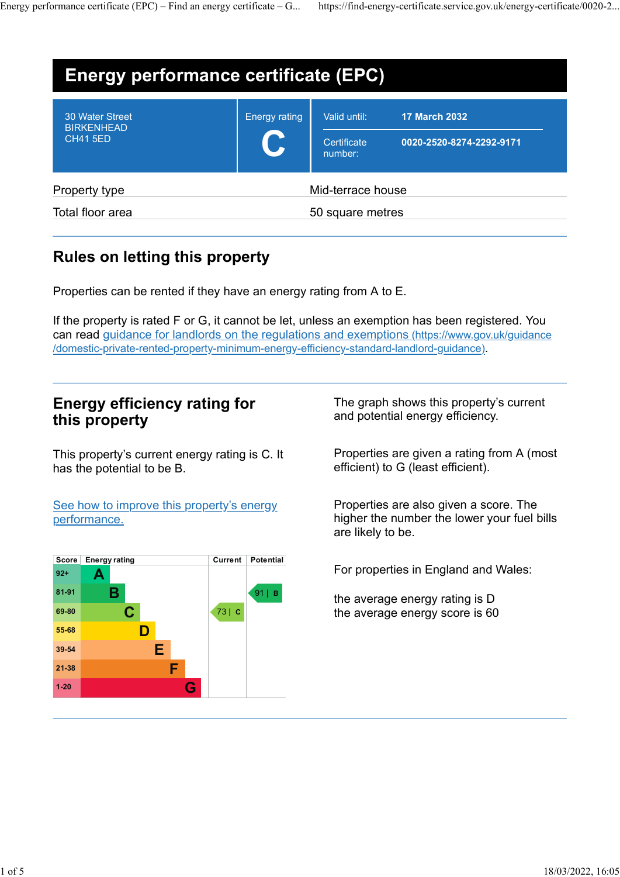| Energy performance certificate $(EPC)$ – Find an energy certificate – G |               |                        | https://find-energy-certificate.service.gov.uk/energy-certificate/0020-2 |  |
|-------------------------------------------------------------------------|---------------|------------------------|--------------------------------------------------------------------------|--|
|                                                                         |               |                        |                                                                          |  |
| <b>Energy performance certificate (EPC)</b>                             |               |                        |                                                                          |  |
| 30 Water Street                                                         | Energy rating | Valid until:           | <b>17 March 2032</b>                                                     |  |
| <b>BIRKENHEAD</b><br><b>CH41 5ED</b>                                    |               | Certificate<br>number: | 0020-2520-8274-2292-9171                                                 |  |
| Property type                                                           |               | Mid-terrace house      |                                                                          |  |

# Rules on letting this property

Properties can be rented if they have an energy rating from A to E.

If the property is rated F or G, it cannot be let, unless an exemption has been registered. You can read guidance for landlords on the regulations and exemptions (https://www.gov.uk/guidance /domestic-private-rented-property-minimum-energy-efficiency-standard-landlord-guidance). Properties can be rented if they have an energy rating from A to E.<br>
fthe property is rated F or G, it cannot be let, unless an exemption has been registered. You<br>
can read guidance for landlords on the regulations and exe

# Energy efficiency rating for this property

This property's current energy rating is C. It has the potential to be B.

See how to improve this property's energy performance.

| Score  | <b>Energy rating</b> | Current  | Potential |                                      |
|--------|----------------------|----------|-----------|--------------------------------------|
| $92+$  | A                    |          |           | For properties in England and Wales: |
| 81-91  | В                    |          | $91$   B  | the average energy rating is D       |
| 69-80  |                      | $73$   C |           | the average energy score is 60       |
| 55-68  |                      |          |           |                                      |
| 39-54  | Ε                    |          |           |                                      |
| 21-38  | F                    |          |           |                                      |
| $1-20$ | G                    |          |           |                                      |

The graph shows this property's current and potential energy efficiency.

Properties are given a rating from A (most efficient) to G (least efficient).

Properties are also given a score. The higher the number the lower your fuel bills are likely to be.

 $\frac{91}{1}$  B average energy rating is D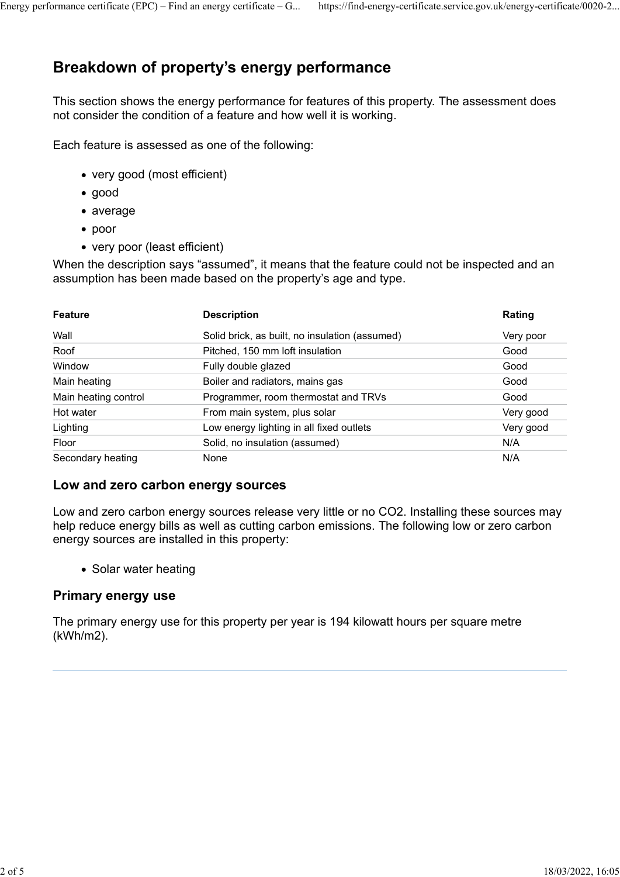# Breakdown of property's energy performance Energy performance certificate (EPC) – Find an energy certificate – G... https://find-energy-certificate.service.gov.uk/energy-certificate/0020-2...<br>Breakdown of property's energy performance

- very good (most efficient)
- good
- average
- poor
- very poor (least efficient)

|                                                 | This section shows the energy performance for features of this property. The assessment does<br>not consider the condition of a feature and how well it is working. |                  |
|-------------------------------------------------|---------------------------------------------------------------------------------------------------------------------------------------------------------------------|------------------|
|                                                 | Each feature is assessed as one of the following:                                                                                                                   |                  |
| • very good (most efficient)                    |                                                                                                                                                                     |                  |
| $\bullet$ good                                  |                                                                                                                                                                     |                  |
| $\bullet$ average                               |                                                                                                                                                                     |                  |
|                                                 |                                                                                                                                                                     |                  |
|                                                 |                                                                                                                                                                     |                  |
| $\bullet$ poor<br>• very poor (least efficient) |                                                                                                                                                                     |                  |
|                                                 | When the description says "assumed", it means that the feature could not be inspected and an<br>assumption has been made based on the property's age and type.      |                  |
| <b>Feature</b>                                  | <b>Description</b>                                                                                                                                                  | Rating           |
| Wall                                            | Solid brick, as built, no insulation (assumed)                                                                                                                      | Very poor        |
| Roof                                            | Pitched, 150 mm loft insulation                                                                                                                                     | Good             |
| Window                                          | Fully double glazed                                                                                                                                                 | Good             |
| Main heating                                    | Boiler and radiators, mains gas                                                                                                                                     | Good             |
| Main heating control                            | Programmer, room thermostat and TRVs                                                                                                                                | Good             |
| Hot water                                       | From main system, plus solar                                                                                                                                        | Very good        |
| Lighting<br>Floor                               | Low energy lighting in all fixed outlets<br>Solid, no insulation (assumed)                                                                                          | Very good<br>N/A |

## Low and zero carbon energy sources

Low and zero carbon energy sources release very little or no CO2. Installing these sources may help reduce energy bills as well as cutting carbon emissions. The following low or zero carbon energy sources are installed in this property:

• Solar water heating

## Primary energy use

The primary energy use for this property per year is 194 kilowatt hours per square metre (kWh/m2).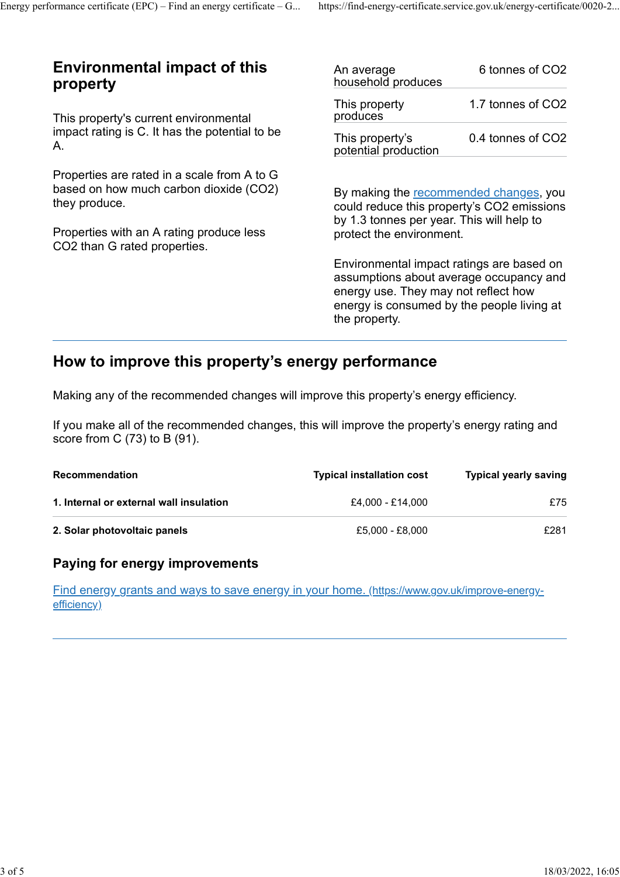# Environmental impact of this property Energy performance certificate (EPC) – Find an energy certificate – G... https://find-energy-certificate.service.gov.uk/energy-certificate/0020-2...<br> **Environmental impact of this** An average 6 tonnes of CO2

This property's current environmental impact rating is C. It has the potential to be A.

Properties are rated in a scale from A to G based on how much carbon dioxide (CO2) they produce.

| An average<br>household produces        | 6 tonnes of CO2   |
|-----------------------------------------|-------------------|
| This property<br>produces               | 1.7 tonnes of CO2 |
| This property's<br>potential production | 0.4 tonnes of CO2 |
|                                         |                   |

By making the recommended changes, you could reduce this property's CO2 emissions by 1.3 tonnes per year. This will help to protect the environment.

# How to improve this property's energy performance

| triey produce.                                                                                                                      | by 1.3 tonnes per year. This will help to             | could reduce this property's CO2 emissions                                                                                         |
|-------------------------------------------------------------------------------------------------------------------------------------|-------------------------------------------------------|------------------------------------------------------------------------------------------------------------------------------------|
| Properties with an A rating produce less<br>CO2 than G rated properties.                                                            | protect the environment.                              |                                                                                                                                    |
|                                                                                                                                     | energy use. They may not reflect how<br>the property. | Environmental impact ratings are based on<br>assumptions about average occupancy and<br>energy is consumed by the people living at |
| How to improve this property's energy performance                                                                                   |                                                       |                                                                                                                                    |
| Making any of the recommended changes will improve this property's energy efficiency.                                               |                                                       |                                                                                                                                    |
| If you make all of the recommended changes, this will improve the property's energy rating and<br>score from C $(73)$ to B $(91)$ . |                                                       |                                                                                                                                    |
| Recommendation                                                                                                                      | <b>Typical installation cost</b>                      | <b>Typical yearly saving</b>                                                                                                       |
| 1. Internal or external wall insulation                                                                                             | £4,000 - £14,000                                      | £75                                                                                                                                |
| 2. Solar photovoltaic panels                                                                                                        | £5,000 - £8,000                                       | £281                                                                                                                               |
| Paying for energy improvements                                                                                                      |                                                       |                                                                                                                                    |
| Find energy grants and ways to save energy in your home. (https://www.gov.uk/improve-energy-                                        |                                                       |                                                                                                                                    |

## Paying for energy improvements

Find energy grants and ways to save energy in your home. (https://www.gov.uk/improve-energyefficiency)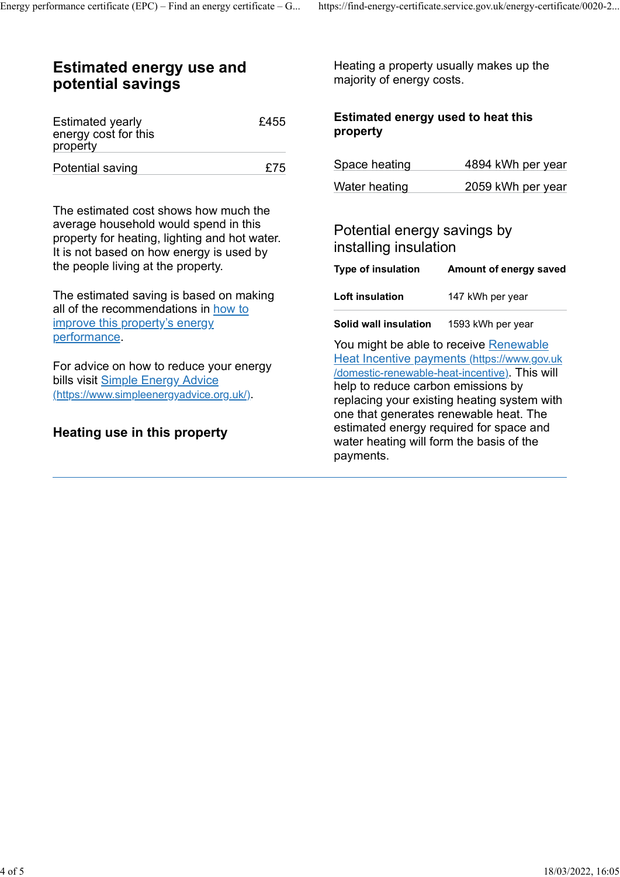# Estimated energy use and potential savings Energy performance certificate (EPC) – Find an energy certificate – G... https://find-energy-certificate.service.gov.uk/energy-certificate/0020-2...<br>**Estimated energy use and** Heating a property usually makes up the

| <b>Estimated yearly</b><br>energy cost for this<br>property | £455 | <b>Estimated energy used</b><br>property |  |
|-------------------------------------------------------------|------|------------------------------------------|--|
| Potential saving                                            | £75  | Space heating                            |  |

The estimated cost shows how much the average household would spend in this property for heating, lighting and hot water. It is not based on how energy is used by the people living at the property.

The estimated saving is based on making all of the recommendations in how to improve this property's energy performance.

For advice on how to reduce your energy bills visit Simple Energy Advice (https://www.simpleenergyadvice.org.uk/).

# Heating use in this property

## $E455$  Estimated energy used to heat this property

| Space heating | 4894 kWh per year |
|---------------|-------------------|
| Water heating | 2059 kWh per year |

# Potential energy savings by installing insulation

|                                                                      | ps://find-energy-certificate.service.gov.uk/energy-certificate/0020-2 |  |
|----------------------------------------------------------------------|-----------------------------------------------------------------------|--|
| Heating a property usually makes up the<br>majority of energy costs. |                                                                       |  |
| Estimated energy used to heat this<br>property                       |                                                                       |  |
| Space heating                                                        | 4894 kWh per year                                                     |  |
| Water heating                                                        | 2059 kWh per year                                                     |  |
| Potential energy savings by<br>installing insulation                 |                                                                       |  |
| <b>Type of insulation</b>                                            | Amount of energy saved                                                |  |
| Loft insulation                                                      | 147 kWh per year                                                      |  |
| Solid wall insulation                                                | 1593 kWh per year                                                     |  |

You might be able to receive Renewable Heat Incentive payments (https://www.gov.uk /domestic-renewable-heat-incentive). This will help to reduce carbon emissions by replacing your existing heating system with one that generates renewable heat. The estimated energy required for space and water heating will form the basis of the payments.